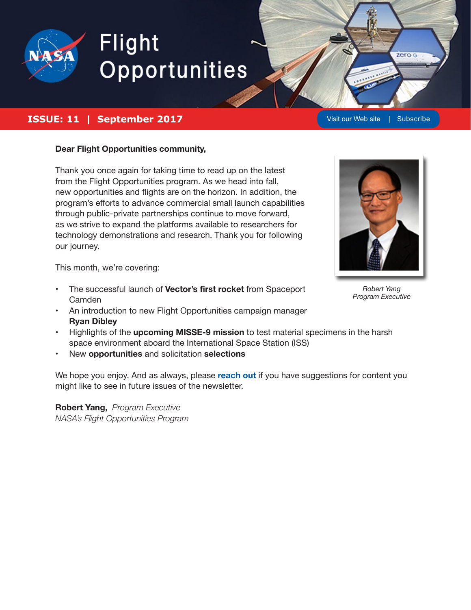

# Flight Opportunities

#### **ISSUE: 11 | September 2017 [Visit our Web site](https://www.nasa.gov/directorates/spacetech/flightopportunities/index.html) | [Subscribe](https://visitor.r20.constantcontact.com/manage/optin?v=001ac3u7uVVAKhDHZ9ReHHJARznqmvImMh9ismiotkSRsqHJpkHHZpW4FDmxTaEoLdeLENxpVLgBfENJim1qbDL3BwZctP8Z5fjDVB50PDZVuDitTLPqUpsvVunmWTMmllMbgxJ4ZguTz86blViAsLiDhdi6qSGJ34xyF_5gFyVOp8VChGKj4mTk-L01QXCqsLvnDZ6lc0bk4Q3KYCmuWzoJAQxVurYPxw4I3_m4dL4HHlADLpBirneU4Nk_qagZ0Li7H6qxzFzQj9XEVvqgHHNNcfoaht81f4r)**

zero G

#### **Dear Flight Opportunities community,**

Thank you once again for taking time to read up on the latest from the Flight Opportunities program. As we head into fall, new opportunities and flights are on the horizon. In addition, the program's efforts to advance commercial small launch capabilities through public-private partnerships continue to move forward, as we strive to expand the platforms available to researchers for technology demonstrations and research. Thank you for following our journey.



This month, we're covering:

- The successful launch of **Vector's first rocket** from Spaceport Camden
- An introduction to new Flight Opportunities campaign manager **Ryan Dibley**
- Highlights of the **upcoming MISSE-9 mission** to test material specimens in the harsh space environment aboard the International Space Station (ISS)
- New **opportunities** and solicitation **selections**

We hope you enjoy. And as always, please **[reach out](mailto:NASA-FlightOpportunities%40mail.nasa.gov?subject=Content%20suggestion%20for%20NASA%20FOP%20Newsletter)** if you have suggestions for content you might like to see in future issues of the newsletter.

**Robert Yang,** *Program Executive NASA's Flight Opportunities Program*

*Robert Yang Program Executive*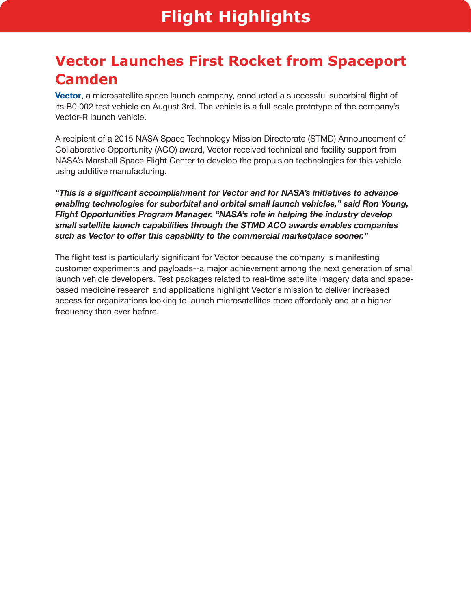## **Vector Launches First Rocket from Spaceport Camden**

**[Vector](https://vectorspacesystems.com/)**, a microsatellite space launch company, conducted a successful suborbital flight of its B0.002 test vehicle on August 3rd. The vehicle is a full-scale prototype of the company's Vector-R launch vehicle.

A recipient of a 2015 NASA Space Technology Mission Directorate (STMD) Announcement of Collaborative Opportunity (ACO) award, Vector received technical and facility support from NASA's Marshall Space Flight Center to develop the propulsion technologies for this vehicle using additive manufacturing.

*"This is a significant accomplishment for Vector and for NASA's initiatives to advance enabling technologies for suborbital and orbital small launch vehicles," said Ron Young, Flight Opportunities Program Manager. "NASA's role in helping the industry develop small satellite launch capabilities through the STMD ACO awards enables companies such as Vector to offer this capability to the commercial marketplace sooner."* 

The flight test is particularly significant for Vector because the company is manifesting customer experiments and payloads--a major achievement among the next generation of small launch vehicle developers. Test packages related to real-time satellite imagery data and spacebased medicine research and applications highlight Vector's mission to deliver increased access for organizations looking to launch microsatellites more affordably and at a higher frequency than ever before.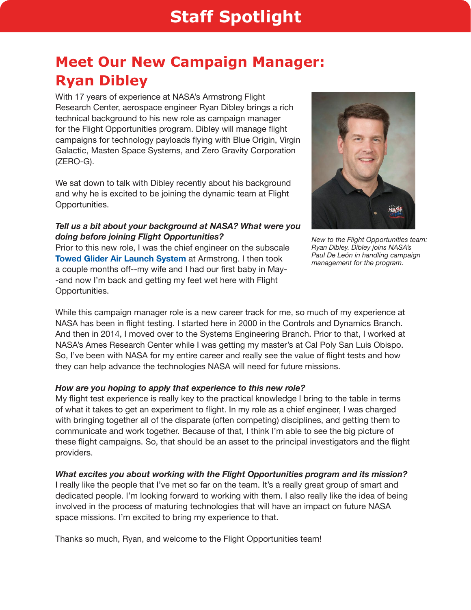## **Meet Our New Campaign Manager: Ryan Dibley**

With 17 years of experience at NASA's Armstrong Flight Research Center, aerospace engineer Ryan Dibley brings a rich technical background to his new role as campaign manager for the Flight Opportunities program. Dibley will manage flight campaigns for technology payloads flying with Blue Origin, Virgin Galactic, Masten Space Systems, and Zero Gravity Corporation (ZERO-G).

We sat down to talk with Dibley recently about his background and why he is excited to be joining the dynamic team at Flight Opportunities.

#### *Tell us a bit about your background at NASA? What were you doing before joining Flight Opportunities?*

Prior to this new role, I was the chief engineer on the subscale **[Towed Glider Air Launch System](https://www.nasa.gov/centers/armstrong/programs_projects/TGALS/index.html)** at Armstrong. I then took a couple months off--my wife and I had our first baby in May- -and now I'm back and getting my feet wet here with Flight Opportunities.



*New to the Flight Opportunities team: Ryan Dibley. Dibley joins NASA's Paul De León in handling campaign management for the program.*

While this campaign manager role is a new career track for me, so much of my experience at NASA has been in flight testing. I started here in 2000 in the Controls and Dynamics Branch. And then in 2014, I moved over to the Systems Engineering Branch. Prior to that, I worked at NASA's Ames Research Center while I was getting my master's at Cal Poly San Luis Obispo. So, I've been with NASA for my entire career and really see the value of flight tests and how they can help advance the technologies NASA will need for future missions.

#### *How are you hoping to apply that experience to this new role?*

My flight test experience is really key to the practical knowledge I bring to the table in terms of what it takes to get an experiment to flight. In my role as a chief engineer, I was charged with bringing together all of the disparate (often competing) disciplines, and getting them to communicate and work together. Because of that, I think I'm able to see the big picture of these flight campaigns. So, that should be an asset to the principal investigators and the flight providers.

#### *What excites you about working with the Flight Opportunities program and its mission?*

I really like the people that I've met so far on the team. It's a really great group of smart and dedicated people. I'm looking forward to working with them. I also really like the idea of being involved in the process of maturing technologies that will have an impact on future NASA space missions. I'm excited to bring my experience to that.

Thanks so much, Ryan, and welcome to the Flight Opportunities team!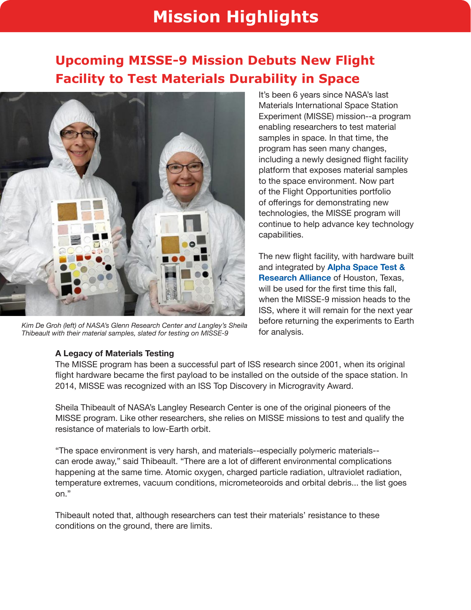## **Mission Highlights**

## **Upcoming MISSE-9 Mission Debuts New Flight Facility to Test Materials Durability in Space**



*Kim De Groh (left) of NASA's Glenn Research Center and Langley's Sheila Thibeault with their material samples, slated for testing on MISSE-9*

It's been 6 years since NASA's last Materials International Space Station Experiment (MISSE) mission--a program enabling researchers to test material samples in space. In that time, the program has seen many changes, including a newly designed flight facility platform that exposes material samples to the space environment. Now part of the Flight Opportunities portfolio of offerings for demonstrating new technologies, the MISSE program will continue to help advance key technology capabilities.

The new flight facility, with hardware built and integrated by **[Alpha Space Test &](http://www.alphaspace.com/)  [Research Alliance](http://www.alphaspace.com/)** of Houston, Texas, will be used for the first time this fall. when the MISSE-9 mission heads to the ISS, where it will remain for the next year before returning the experiments to Earth for analysis.

#### **A Legacy of Materials Testing**

The MISSE program has been a successful part of ISS research since 2001, when its original flight hardware became the first payload to be installed on the outside of the space station. In 2014, MISSE was recognized with an ISS Top Discovery in Microgravity Award.

Sheila Thibeault of NASA's Langley Research Center is one of the original pioneers of the MISSE program. Like other researchers, she relies on MISSE missions to test and qualify the resistance of materials to low-Earth orbit.

"The space environment is very harsh, and materials--especially polymeric materials- can erode away," said Thibeault. "There are a lot of different environmental complications happening at the same time. Atomic oxygen, charged particle radiation, ultraviolet radiation, temperature extremes, vacuum conditions, micrometeoroids and orbital debris... the list goes on."

Thibeault noted that, although researchers can test their materials' resistance to these conditions on the ground, there are limits.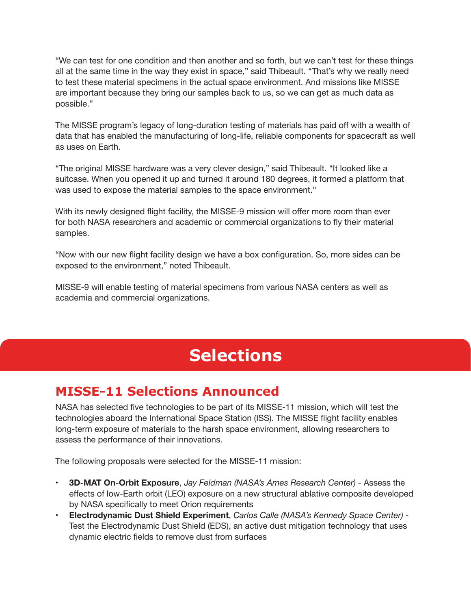"We can test for one condition and then another and so forth, but we can't test for these things all at the same time in the way they exist in space," said Thibeault. "That's why we really need to test these material specimens in the actual space environment. And missions like MISSE are important because they bring our samples back to us, so we can get as much data as possible."

The MISSE program's legacy of long-duration testing of materials has paid off with a wealth of data that has enabled the manufacturing of long-life, reliable components for spacecraft as well as uses on Earth.

"The original MISSE hardware was a very clever design," said Thibeault. "It looked like a suitcase. When you opened it up and turned it around 180 degrees, it formed a platform that was used to expose the material samples to the space environment."

With its newly designed flight facility, the MISSE-9 mission will offer more room than ever for both NASA researchers and academic or commercial organizations to fly their material samples.

"Now with our new flight facility design we have a box configuration. So, more sides can be exposed to the environment," noted Thibeault.

MISSE-9 will enable testing of material specimens from various NASA centers as well as academia and commercial organizations.

## **Selections**

### **MISSE-11 Selections Announced**

NASA has selected five technologies to be part of its MISSE-11 mission, which will test the technologies aboard the International Space Station (ISS). The MISSE flight facility enables long-term exposure of materials to the harsh space environment, allowing researchers to assess the performance of their innovations.

The following proposals were selected for the MISSE-11 mission:

- **• 3D-MAT On-Orbit Exposure**, *Jay Feldman (NASA's Ames Research Center)* Assess the effects of low-Earth orbit (LEO) exposure on a new structural ablative composite developed by NASA specifically to meet Orion requirements
- **• Electrodynamic Dust Shield Experiment**, *Carlos Calle (NASA's Kennedy Space Center)* Test the Electrodynamic Dust Shield (EDS), an active dust mitigation technology that uses dynamic electric fields to remove dust from surfaces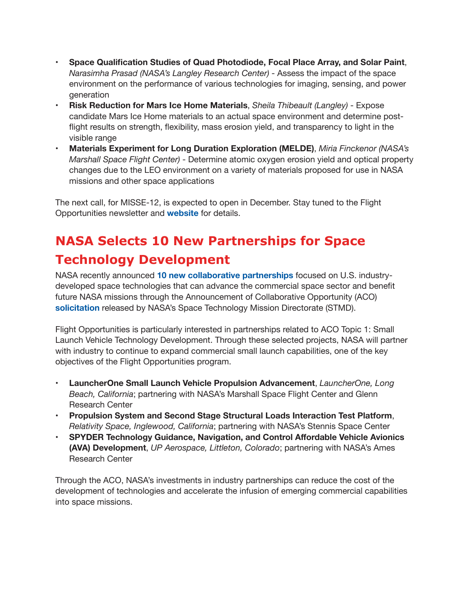- **• Space Qualification Studies of Quad Photodiode, Focal Place Array, and Solar Paint**, *Narasimha Prasad (NASA's Langley Research Center)* - Assess the impact of the space environment on the performance of various technologies for imaging, sensing, and power generation
- **• Risk Reduction for Mars Ice Home Materials**, *Sheila Thibeault (Langley)* Expose candidate Mars Ice Home materials to an actual space environment and determine postflight results on strength, flexibility, mass erosion yield, and transparency to light in the visible range
- **• Materials Experiment for Long Duration Exploration (MELDE)**, *Miria Finckenor (NASA's Marshall Space Flight Center)* - Determine atomic oxygen erosion yield and optical property changes due to the LEO environment on a variety of materials proposed for use in NASA missions and other space applications

The next call, for MISSE-12, is expected to open in December. Stay tuned to the Flight Opportunities newsletter and **[website](https://www.nasa.gov/directorates/spacetech/flightopportunities/index.html)** for details.

## **NASA Selects 10 New Partnerships for Space Technology Development**

NASA recently announced **[10 new collaborative partnerships](https://www.nasa.gov/directorates/spacetech/feature/Partnerships_to_Advance_Commercial_Space_Technology)** focused on U.S. industrydeveloped space technologies that can advance the commercial space sector and benefit future NASA missions through the Announcement of Collaborative Opportunity (ACO) **[solicitation](https://nspires.nasaprs.com/external/solicitations/summary.do?method=init&solId=%7bE4466534-6C43-2367-5E53-EE2165C396C2%7d&path=closedPast)** released by NASA's Space Technology Mission Directorate (STMD).

Flight Opportunities is particularly interested in partnerships related to ACO Topic 1: Small Launch Vehicle Technology Development. Through these selected projects, NASA will partner with industry to continue to expand commercial small launch capabilities, one of the key objectives of the Flight Opportunities program.

- **• LauncherOne Small Launch Vehicle Propulsion Advancement**, *LauncherOne, Long Beach, California*; partnering with NASA's Marshall Space Flight Center and Glenn Research Center
- **• Propulsion System and Second Stage Structural Loads Interaction Test Platform**, *Relativity Space, Inglewood, California*; partnering with NASA's Stennis Space Center
- **• SPYDER Technology Guidance, Navigation, and Control Affordable Vehicle Avionics (AVA) Development**, *UP Aerospace, Littleton, Colorado*; partnering with NASA's Ames Research Center

Through the ACO, NASA's investments in industry partnerships can reduce the cost of the development of technologies and accelerate the infusion of emerging commercial capabilities into space missions.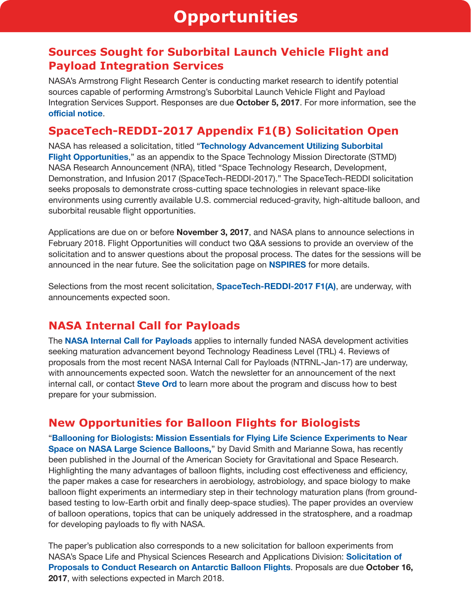### **Sources Sought for Suborbital Launch Vehicle Flight and Payload Integration Services**

NASA's Armstrong Flight Research Center is conducting market research to identify potential sources capable of performing Armstrong's Suborbital Launch Vehicle Flight and Payload Integration Services Support. Responses are due **October 5, 2017**. For more information, see the **[official notice](https://www.fbo.gov/index?s=opportunity&mode=form&id=17020ee7b7e886700b84ba41bab21e86&tab=core&_cview=0)**.

### **SpaceTech-REDDI-2017 Appendix F1(B) Solicitation Open**

NASA has released a solicitation, titled "**[Technology Advancement Utilizing Suborbital](http://tinyurl.com/NASA-17FO-F1B)  [Flight Opportunities](http://tinyurl.com/NASA-17FO-F1B)**," as an appendix to the Space Technology Mission Directorate (STMD) NASA Research Announcement (NRA), titled "Space Technology Research, Development, Demonstration, and Infusion 2017 (SpaceTech-REDDI-2017)." The SpaceTech-REDDI solicitation seeks proposals to demonstrate cross-cutting space technologies in relevant space-like environments using currently available U.S. commercial reduced-gravity, high-altitude balloon, and suborbital reusable flight opportunities.

Applications are due on or before **November 3, 2017**, and NASA plans to announce selections in February 2018. Flight Opportunities will conduct two Q&A sessions to provide an overview of the solicitation and to answer questions about the proposal process. The dates for the sessions will be announced in the near future. See the solicitation page on **[NSPIRES](http://tinyurl.com/NASA-17FO-F1B)** for more details.

Selections from the most recent solicitation, **[SpaceTech-REDDI-2017 F1\(A\)](https://nspires.nasaprs.com/external/solicitations/summary.do?method=init&solId={E794E0A7-E63F-54B2-1D66-3AD8BC713A6A})**, are underway, with announcements expected soon.

### **NASA Internal Call for Payloads**

The **[NASA Internal Call for Payloads](https://www.nasa.gov/directorates/spacetech/flightopportunities/opportunities)** applies to internally funded NASA development activities seeking maturation advancement beyond Technology Readiness Level (TRL) 4. Reviews of proposals from the most recent NASA Internal Call for Payloads (NTRNL-Jan-17) are underway, with announcements expected soon. Watch the newsletter for an announcement of the next internal call, or contact **[Steve Ord](mailto:stephan.f.ord%40nasa.gov?subject=NTRNL)** to learn more about the program and discuss how to best prepare for your submission.

### **New Opportunities for Balloon Flights for Biologists**

"**[Ballooning for Biologists: Mission Essentials for Flying Life Science Experiments to Near](http://gravitationalandspacebiology.org/index.php/journal/article/view/737/780)  [Space on NASA Large Science Balloons,](http://gravitationalandspacebiology.org/index.php/journal/article/view/737/780)"** by David Smith and Marianne Sowa, has recently been published in the Journal of the American Society for Gravitational and Space Research. Highlighting the many advantages of balloon flights, including cost effectiveness and efficiency, the paper makes a case for researchers in aerobiology, astrobiology, and space biology to make balloon flight experiments an intermediary step in their technology maturation plans (from groundbased testing to low-Earth orbit and finally deep-space studies). The paper provides an overview of balloon operations, topics that can be uniquely addressed in the stratosphere, and a roadmap for developing payloads to fly with NASA.

The paper's publication also corresponds to a new solicitation for balloon experiments from NASA's Space Life and Physical Sciences Research and Applications Division: **[Solicitation of](https://nspires.nasaprs.com/external/solicitations/summary.do?solId=%7B1A05607C-45CF-E983-64E3-7EA1D7C0BA87%7D&path=&method=init)  [Proposals to Conduct Research on Antarctic Balloon Flights](https://nspires.nasaprs.com/external/solicitations/summary.do?solId=%7B1A05607C-45CF-E983-64E3-7EA1D7C0BA87%7D&path=&method=init)**. Proposals are due **October 16, 2017**, with selections expected in March 2018.